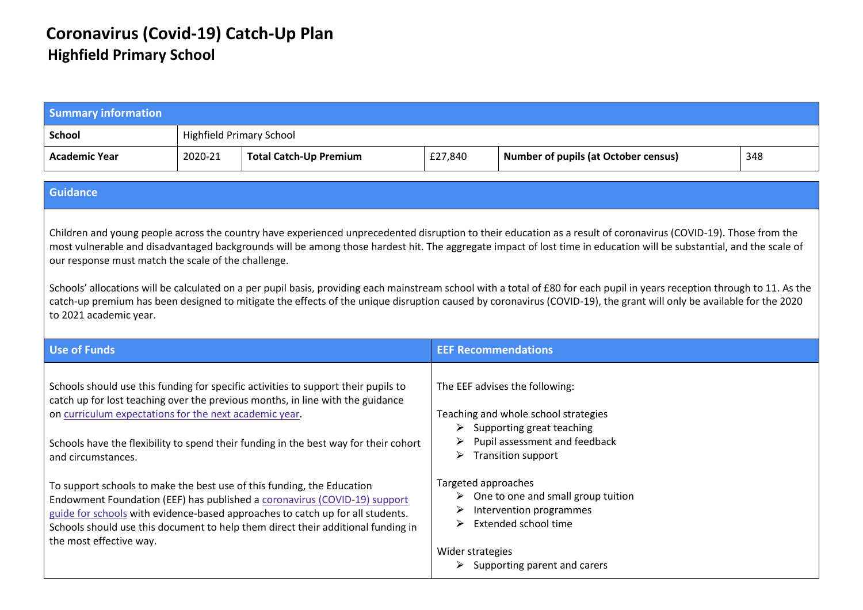## **Coronavirus (Covid-19) Catch-Up Plan Highfield Primary School**

| <b>Summary information</b>                                                                                                                                                                                                                                                                                                                                                                                                                                                                                                                                                                                                                                                                                                                                                   |                                 |                                                                                                                                                                                                                                                                                                                                                                                                                                                                                                                                                                                           |                                                        |                                                                                                                                                                                                                                                                                                                                               |     |
|------------------------------------------------------------------------------------------------------------------------------------------------------------------------------------------------------------------------------------------------------------------------------------------------------------------------------------------------------------------------------------------------------------------------------------------------------------------------------------------------------------------------------------------------------------------------------------------------------------------------------------------------------------------------------------------------------------------------------------------------------------------------------|---------------------------------|-------------------------------------------------------------------------------------------------------------------------------------------------------------------------------------------------------------------------------------------------------------------------------------------------------------------------------------------------------------------------------------------------------------------------------------------------------------------------------------------------------------------------------------------------------------------------------------------|--------------------------------------------------------|-----------------------------------------------------------------------------------------------------------------------------------------------------------------------------------------------------------------------------------------------------------------------------------------------------------------------------------------------|-----|
| <b>School</b>                                                                                                                                                                                                                                                                                                                                                                                                                                                                                                                                                                                                                                                                                                                                                                | <b>Highfield Primary School</b> |                                                                                                                                                                                                                                                                                                                                                                                                                                                                                                                                                                                           |                                                        |                                                                                                                                                                                                                                                                                                                                               |     |
| <b>Academic Year</b>                                                                                                                                                                                                                                                                                                                                                                                                                                                                                                                                                                                                                                                                                                                                                         | 2020-21                         | <b>Total Catch-Up Premium</b>                                                                                                                                                                                                                                                                                                                                                                                                                                                                                                                                                             | £27,840                                                | <b>Number of pupils (at October census)</b>                                                                                                                                                                                                                                                                                                   | 348 |
| <b>Guidance</b>                                                                                                                                                                                                                                                                                                                                                                                                                                                                                                                                                                                                                                                                                                                                                              |                                 |                                                                                                                                                                                                                                                                                                                                                                                                                                                                                                                                                                                           |                                                        |                                                                                                                                                                                                                                                                                                                                               |     |
| Children and young people across the country have experienced unprecedented disruption to their education as a result of coronavirus (COVID-19). Those from the<br>most vulnerable and disadvantaged backgrounds will be among those hardest hit. The aggregate impact of lost time in education will be substantial, and the scale of<br>our response must match the scale of the challenge.<br>Schools' allocations will be calculated on a per pupil basis, providing each mainstream school with a total of £80 for each pupil in years reception through to 11. As the<br>catch-up premium has been designed to mitigate the effects of the unique disruption caused by coronavirus (COVID-19), the grant will only be available for the 2020<br>to 2021 academic year. |                                 |                                                                                                                                                                                                                                                                                                                                                                                                                                                                                                                                                                                           |                                                        |                                                                                                                                                                                                                                                                                                                                               |     |
| <b>Use of Funds</b>                                                                                                                                                                                                                                                                                                                                                                                                                                                                                                                                                                                                                                                                                                                                                          |                                 |                                                                                                                                                                                                                                                                                                                                                                                                                                                                                                                                                                                           | <b>EEF Recommendations</b>                             |                                                                                                                                                                                                                                                                                                                                               |     |
| on curriculum expectations for the next academic year.<br>and circumstances.<br>the most effective way.                                                                                                                                                                                                                                                                                                                                                                                                                                                                                                                                                                                                                                                                      |                                 | Schools should use this funding for specific activities to support their pupils to<br>catch up for lost teaching over the previous months, in line with the guidance<br>Schools have the flexibility to spend their funding in the best way for their cohort<br>To support schools to make the best use of this funding, the Education<br>Endowment Foundation (EEF) has published a coronavirus (COVID-19) support<br>guide for schools with evidence-based approaches to catch up for all students.<br>Schools should use this document to help them direct their additional funding in | ➤<br>Targeted approaches<br>➤<br>➤<br>Wider strategies | The EEF advises the following:<br>Teaching and whole school strategies<br>$\triangleright$ Supporting great teaching<br>Pupil assessment and feedback<br><b>Transition support</b><br>$\triangleright$ One to one and small group tuition<br>Intervention programmes<br>Extended school time<br>$\triangleright$ Supporting parent and carers |     |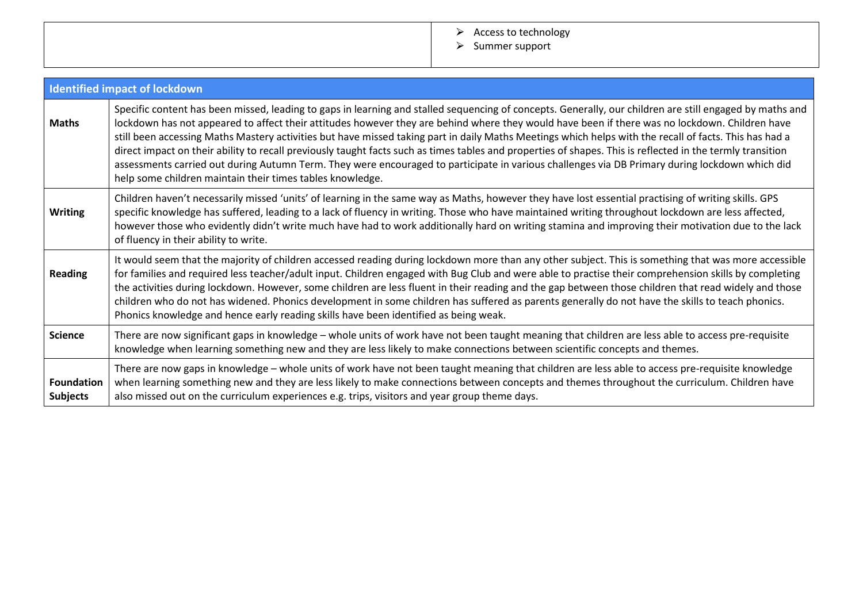## > Access to technology

⮚ Summer support

|                                      | <b>Identified impact of lockdown</b>                                                                                                                                                                                                                                                                                                                                                                                                                                                                                                                                                                                                                                                                                                                                                                                                              |
|--------------------------------------|---------------------------------------------------------------------------------------------------------------------------------------------------------------------------------------------------------------------------------------------------------------------------------------------------------------------------------------------------------------------------------------------------------------------------------------------------------------------------------------------------------------------------------------------------------------------------------------------------------------------------------------------------------------------------------------------------------------------------------------------------------------------------------------------------------------------------------------------------|
| <b>Maths</b>                         | Specific content has been missed, leading to gaps in learning and stalled sequencing of concepts. Generally, our children are still engaged by maths and<br>lockdown has not appeared to affect their attitudes however they are behind where they would have been if there was no lockdown. Children have<br>still been accessing Maths Mastery activities but have missed taking part in daily Maths Meetings which helps with the recall of facts. This has had a<br>direct impact on their ability to recall previously taught facts such as times tables and properties of shapes. This is reflected in the termly transition<br>assessments carried out during Autumn Term. They were encouraged to participate in various challenges via DB Primary during lockdown which did<br>help some children maintain their times tables knowledge. |
| <b>Writing</b>                       | Children haven't necessarily missed 'units' of learning in the same way as Maths, however they have lost essential practising of writing skills. GPS<br>specific knowledge has suffered, leading to a lack of fluency in writing. Those who have maintained writing throughout lockdown are less affected,<br>however those who evidently didn't write much have had to work additionally hard on writing stamina and improving their motivation due to the lack<br>of fluency in their ability to write.                                                                                                                                                                                                                                                                                                                                         |
| <b>Reading</b>                       | It would seem that the majority of children accessed reading during lockdown more than any other subject. This is something that was more accessible<br>for families and required less teacher/adult input. Children engaged with Bug Club and were able to practise their comprehension skills by completing<br>the activities during lockdown. However, some children are less fluent in their reading and the gap between those children that read widely and those<br>children who do not has widened. Phonics development in some children has suffered as parents generally do not have the skills to teach phonics.<br>Phonics knowledge and hence early reading skills have been identified as being weak.                                                                                                                                |
| <b>Science</b>                       | There are now significant gaps in knowledge - whole units of work have not been taught meaning that children are less able to access pre-requisite<br>knowledge when learning something new and they are less likely to make connections between scientific concepts and themes.                                                                                                                                                                                                                                                                                                                                                                                                                                                                                                                                                                  |
| <b>Foundation</b><br><b>Subjects</b> | There are now gaps in knowledge - whole units of work have not been taught meaning that children are less able to access pre-requisite knowledge<br>when learning something new and they are less likely to make connections between concepts and themes throughout the curriculum. Children have<br>also missed out on the curriculum experiences e.g. trips, visitors and year group theme days.                                                                                                                                                                                                                                                                                                                                                                                                                                                |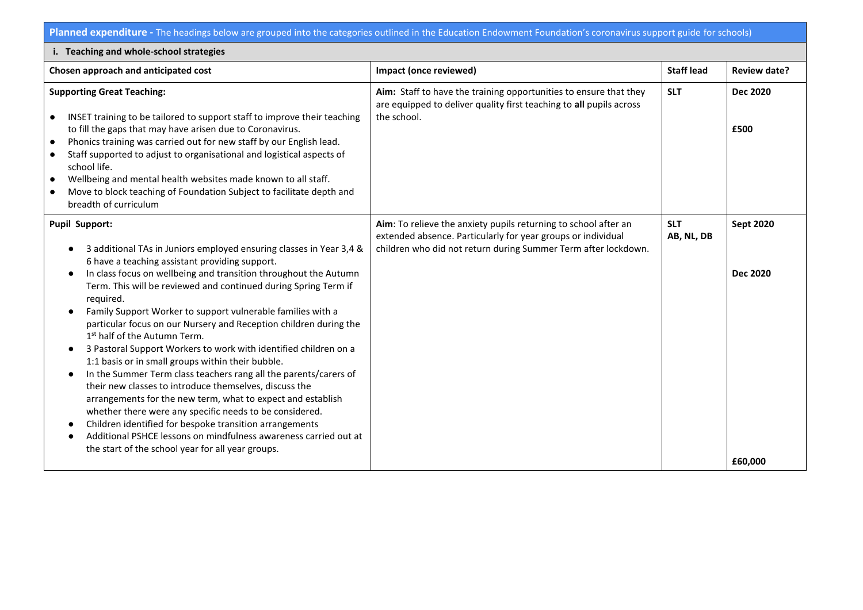**Planned expenditure -** The headings below are grouped into the categories outlined in the Education Endowment Foundation's coronavirus support guide for schools)

| i. Teaching and whole-school strategies                                                                                                                                                                                                                                                                                                                                                                                                                                                                                                                                                                                                                                                                                                                                                                                                                                                                                                                                                                                                                 |                                                                                                                                                                                                   |                          |                                                |  |
|---------------------------------------------------------------------------------------------------------------------------------------------------------------------------------------------------------------------------------------------------------------------------------------------------------------------------------------------------------------------------------------------------------------------------------------------------------------------------------------------------------------------------------------------------------------------------------------------------------------------------------------------------------------------------------------------------------------------------------------------------------------------------------------------------------------------------------------------------------------------------------------------------------------------------------------------------------------------------------------------------------------------------------------------------------|---------------------------------------------------------------------------------------------------------------------------------------------------------------------------------------------------|--------------------------|------------------------------------------------|--|
| Chosen approach and anticipated cost                                                                                                                                                                                                                                                                                                                                                                                                                                                                                                                                                                                                                                                                                                                                                                                                                                                                                                                                                                                                                    | Impact (once reviewed)                                                                                                                                                                            | <b>Staff lead</b>        | <b>Review date?</b>                            |  |
| <b>Supporting Great Teaching:</b><br>INSET training to be tailored to support staff to improve their teaching<br>$\bullet$<br>to fill the gaps that may have arisen due to Coronavirus.<br>Phonics training was carried out for new staff by our English lead.<br>$\bullet$<br>Staff supported to adjust to organisational and logistical aspects of<br>school life.<br>Wellbeing and mental health websites made known to all staff.<br>$\bullet$<br>Move to block teaching of Foundation Subject to facilitate depth and<br>$\bullet$<br>breadth of curriculum                                                                                                                                                                                                                                                                                                                                                                                                                                                                                        | Aim: Staff to have the training opportunities to ensure that they<br>are equipped to deliver quality first teaching to all pupils across<br>the school.                                           | <b>SLT</b>               | <b>Dec 2020</b><br>£500                        |  |
| <b>Pupil Support:</b><br>3 additional TAs in Juniors employed ensuring classes in Year 3,4 &<br>6 have a teaching assistant providing support.<br>In class focus on wellbeing and transition throughout the Autumn<br>Term. This will be reviewed and continued during Spring Term if<br>required.<br>Family Support Worker to support vulnerable families with a<br>particular focus on our Nursery and Reception children during the<br>1 <sup>st</sup> half of the Autumn Term.<br>3 Pastoral Support Workers to work with identified children on a<br>1:1 basis or in small groups within their bubble.<br>In the Summer Term class teachers rang all the parents/carers of<br>their new classes to introduce themselves, discuss the<br>arrangements for the new term, what to expect and establish<br>whether there were any specific needs to be considered.<br>Children identified for bespoke transition arrangements<br>Additional PSHCE lessons on mindfulness awareness carried out at<br>the start of the school year for all year groups. | Aim: To relieve the anxiety pupils returning to school after an<br>extended absence. Particularly for year groups or individual<br>children who did not return during Summer Term after lockdown. | <b>SLT</b><br>AB, NL, DB | <b>Sept 2020</b><br><b>Dec 2020</b><br>£60,000 |  |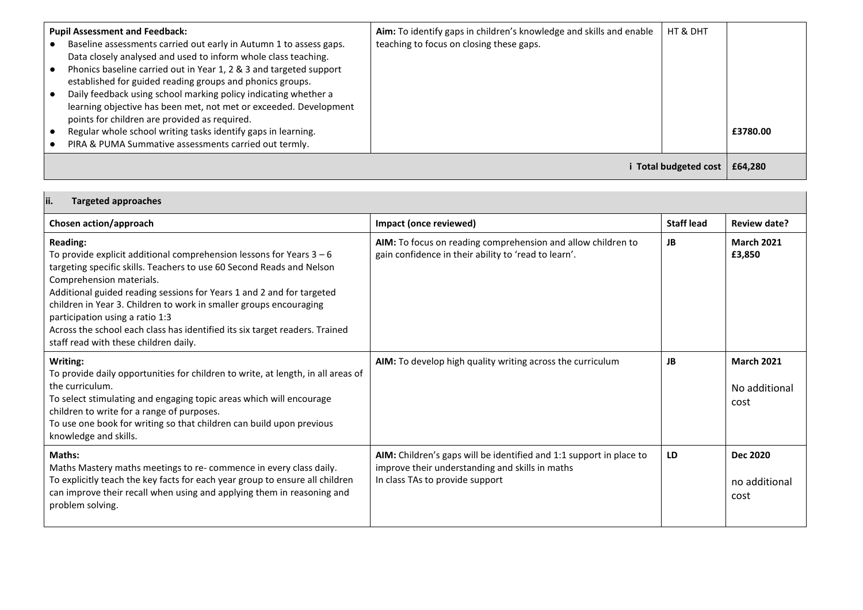| <b>Pupil Assessment and Feedback:</b><br>Baseline assessments carried out early in Autumn 1 to assess gaps.<br>Data closely analysed and used to inform whole class teaching.<br>Phonics baseline carried out in Year 1, 2 & 3 and targeted support<br>established for guided reading groups and phonics groups.<br>Daily feedback using school marking policy indicating whether a<br>learning objective has been met, not met or exceeded. Development<br>points for children are provided as required.<br>Regular whole school writing tasks identify gaps in learning.<br>PIRA & PUMA Summative assessments carried out termly. | Aim: To identify gaps in children's knowledge and skills and enable<br>teaching to focus on closing these gaps. | HT & DHT            | £3780.00 |
|-------------------------------------------------------------------------------------------------------------------------------------------------------------------------------------------------------------------------------------------------------------------------------------------------------------------------------------------------------------------------------------------------------------------------------------------------------------------------------------------------------------------------------------------------------------------------------------------------------------------------------------|-----------------------------------------------------------------------------------------------------------------|---------------------|----------|
|                                                                                                                                                                                                                                                                                                                                                                                                                                                                                                                                                                                                                                     |                                                                                                                 | Total budgeted cost | £64,280  |

| ii.<br><b>Targeted approaches</b>                                                                                                                                                                                                                                                                                                                                                                                                                                                                        |                                                                                                                                                           |                   |                                            |
|----------------------------------------------------------------------------------------------------------------------------------------------------------------------------------------------------------------------------------------------------------------------------------------------------------------------------------------------------------------------------------------------------------------------------------------------------------------------------------------------------------|-----------------------------------------------------------------------------------------------------------------------------------------------------------|-------------------|--------------------------------------------|
| Chosen action/approach                                                                                                                                                                                                                                                                                                                                                                                                                                                                                   | Impact (once reviewed)                                                                                                                                    | <b>Staff lead</b> | <b>Review date?</b>                        |
| <b>Reading:</b><br>To provide explicit additional comprehension lessons for Years $3 - 6$<br>targeting specific skills. Teachers to use 60 Second Reads and Nelson<br>Comprehension materials.<br>Additional guided reading sessions for Years 1 and 2 and for targeted<br>children in Year 3. Children to work in smaller groups encouraging<br>participation using a ratio 1:3<br>Across the school each class has identified its six target readers. Trained<br>staff read with these children daily. | AIM: To focus on reading comprehension and allow children to<br>gain confidence in their ability to 'read to learn'.                                      | <b>JB</b>         | <b>March 2021</b><br>£3,850                |
| Writing:<br>To provide daily opportunities for children to write, at length, in all areas of<br>the curriculum.<br>To select stimulating and engaging topic areas which will encourage<br>children to write for a range of purposes.<br>To use one book for writing so that children can build upon previous<br>knowledge and skills.                                                                                                                                                                    | AIM: To develop high quality writing across the curriculum                                                                                                | JB                | <b>March 2021</b><br>No additional<br>cost |
| <b>Maths:</b><br>Maths Mastery maths meetings to re- commence in every class daily.<br>To explicitly teach the key facts for each year group to ensure all children<br>can improve their recall when using and applying them in reasoning and<br>problem solving.                                                                                                                                                                                                                                        | AIM: Children's gaps will be identified and 1:1 support in place to<br>improve their understanding and skills in maths<br>In class TAs to provide support | LD                | <b>Dec 2020</b><br>no additional<br>cost   |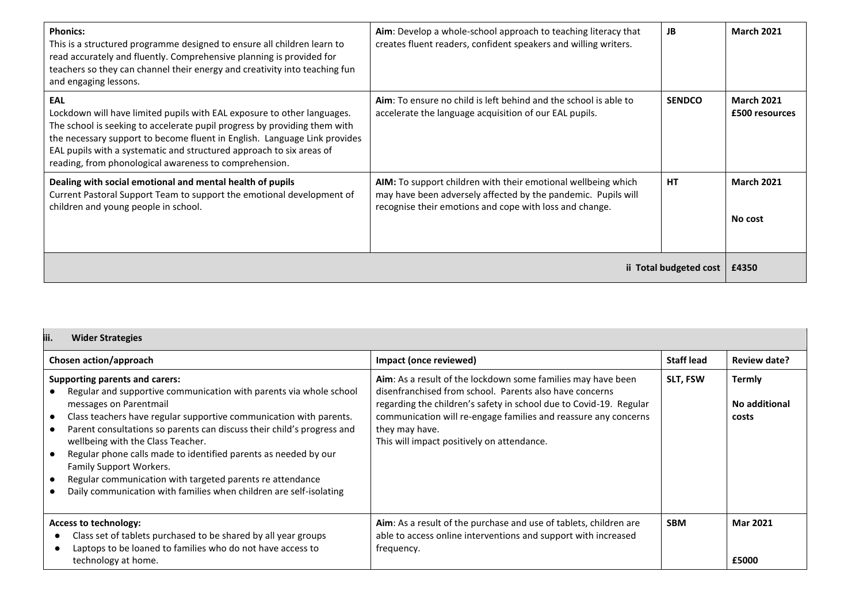| <b>Phonics:</b><br>This is a structured programme designed to ensure all children learn to<br>read accurately and fluently. Comprehensive planning is provided for<br>teachers so they can channel their energy and creativity into teaching fun<br>and engaging lessons.                                                                                                  | Aim: Develop a whole-school approach to teaching literacy that<br>creates fluent readers, confident speakers and willing writers.                                                         | <b>JB</b>     | <b>March 2021</b>                   |
|----------------------------------------------------------------------------------------------------------------------------------------------------------------------------------------------------------------------------------------------------------------------------------------------------------------------------------------------------------------------------|-------------------------------------------------------------------------------------------------------------------------------------------------------------------------------------------|---------------|-------------------------------------|
| EAL<br>Lockdown will have limited pupils with EAL exposure to other languages.<br>The school is seeking to accelerate pupil progress by providing them with<br>the necessary support to become fluent in English. Language Link provides<br>EAL pupils with a systematic and structured approach to six areas of<br>reading, from phonological awareness to comprehension. | Aim: To ensure no child is left behind and the school is able to<br>accelerate the language acquisition of our EAL pupils.                                                                | <b>SENDCO</b> | <b>March 2021</b><br>£500 resources |
| Dealing with social emotional and mental health of pupils<br>Current Pastoral Support Team to support the emotional development of<br>children and young people in school.                                                                                                                                                                                                 | AIM: To support children with their emotional wellbeing which<br>may have been adversely affected by the pandemic. Pupils will<br>recognise their emotions and cope with loss and change. | <b>HT</b>     | <b>March 2021</b><br>No cost        |
| ii Total budgeted cost                                                                                                                                                                                                                                                                                                                                                     |                                                                                                                                                                                           |               | £4350                               |

| iii.<br><b>Wider Strategies</b>                                                                                                                                                                                                                                                                                                                                                                                                                                                                                                                                                                    |                                                                                                                                                                                                                                                                                                                                  |                   |                                         |
|----------------------------------------------------------------------------------------------------------------------------------------------------------------------------------------------------------------------------------------------------------------------------------------------------------------------------------------------------------------------------------------------------------------------------------------------------------------------------------------------------------------------------------------------------------------------------------------------------|----------------------------------------------------------------------------------------------------------------------------------------------------------------------------------------------------------------------------------------------------------------------------------------------------------------------------------|-------------------|-----------------------------------------|
| Chosen action/approach                                                                                                                                                                                                                                                                                                                                                                                                                                                                                                                                                                             | Impact (once reviewed)                                                                                                                                                                                                                                                                                                           | <b>Staff lead</b> | Review date?                            |
| <b>Supporting parents and carers:</b><br>Regular and supportive communication with parents via whole school<br>messages on Parentmail<br>Class teachers have regular supportive communication with parents.<br>$\bullet$<br>Parent consultations so parents can discuss their child's progress and<br>wellbeing with the Class Teacher.<br>Regular phone calls made to identified parents as needed by our<br>$\bullet$<br>Family Support Workers.<br>Regular communication with targeted parents re attendance<br>$\bullet$<br>Daily communication with families when children are self-isolating | Aim: As a result of the lockdown some families may have been<br>disenfranchised from school. Parents also have concerns<br>regarding the children's safety in school due to Covid-19. Regular<br>communication will re-engage families and reassure any concerns<br>they may have.<br>This will impact positively on attendance. | <b>SLT, FSW</b>   | <b>Termly</b><br>No additional<br>costs |
| <b>Access to technology:</b><br>Class set of tablets purchased to be shared by all year groups<br>Laptops to be loaned to families who do not have access to<br>technology at home.                                                                                                                                                                                                                                                                                                                                                                                                                | Aim: As a result of the purchase and use of tablets, children are<br>able to access online interventions and support with increased<br>frequency.                                                                                                                                                                                | <b>SBM</b>        | <b>Mar 2021</b><br>£5000                |